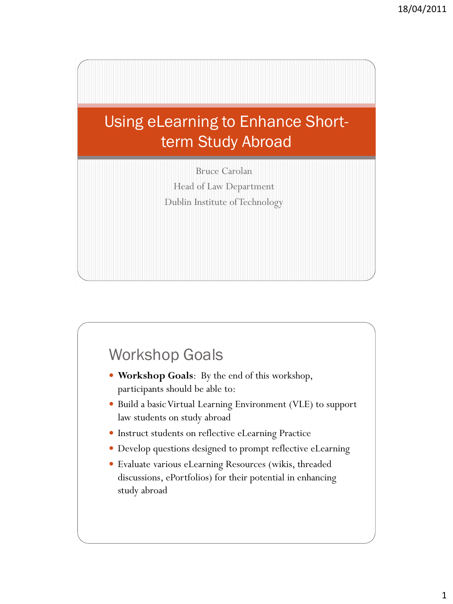

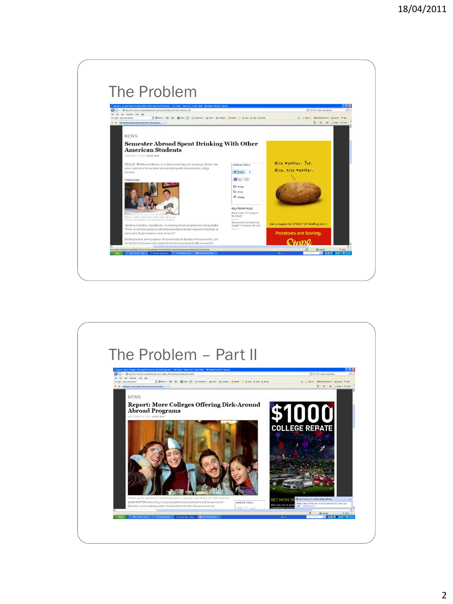

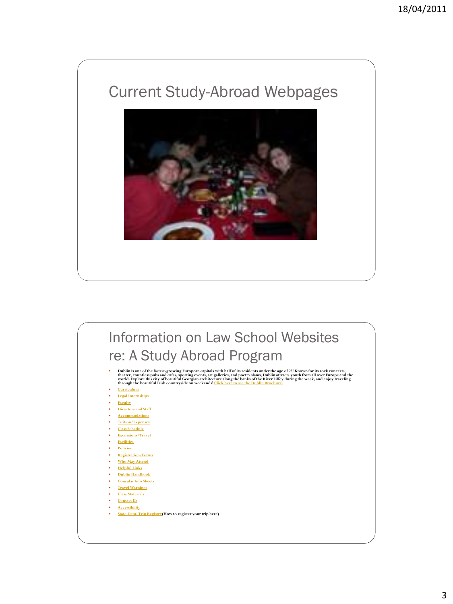# Current Study-Abroad Webpages



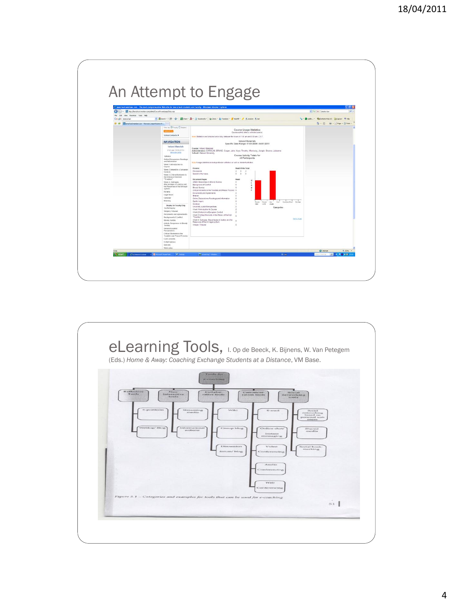

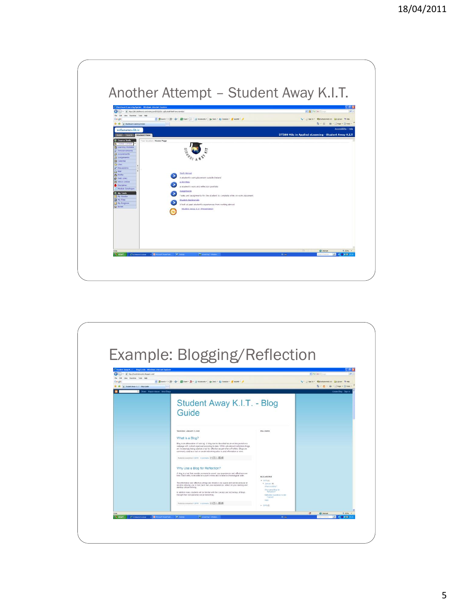

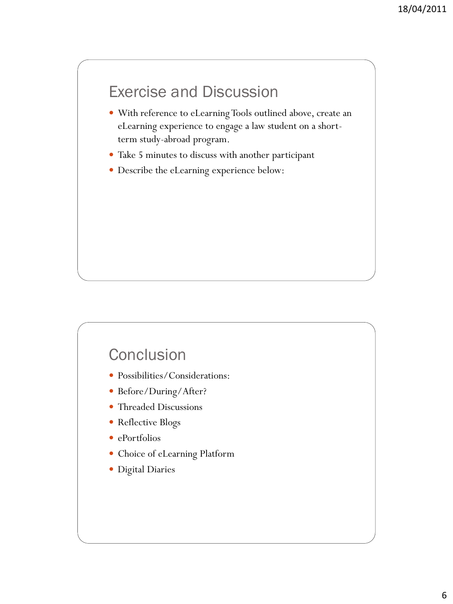## Exercise and Discussion

- With reference to eLearning Tools outlined above, create an eLearning experience to engage a law student on a shortterm study-abroad program.
- Take 5 minutes to discuss with another participant
- Describe the eLearning experience below:

### **Conclusion**

- Possibilities/Considerations:
- Before/During/After?
- Threaded Discussions
- Reflective Blogs
- ePortfolios
- Choice of eLearning Platform
- Digital Diaries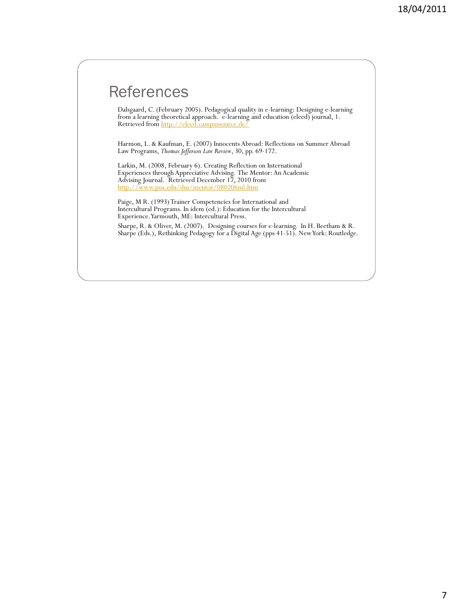### **References**

Dalsgaard, C. (February 2005). Pedagogical quality in e-learning: Designing e-learning from a learning theoretical approach. e-learning and education (eleed) journal, 1. Retrieved from<http://eleed.campussource.de/>

Harmon, L. & Kaufman, E. (2007) Innocents Abroad: Reflections on Summer Abroad Law Programs, *Thomas Jefferson Law Review*, 30, pp. 69-172.

Larkin, M. (2008, February 6). Creating Reflection on International Experiences through Appreciative Advising. The Mentor: An Academic Advising Journal. Retrieved December 17, 2010 from <http://www.psu.edu/dus/mentor/080206ml.htm>

Paige, M R. (1993) Trainer Competencies for International and Intercultural Programs. In idem (ed.): Education for the Intercultural Experience. Yarmouth, ME: Intercultural Press.

Sharpe, R. & Oliver, M. (2007). Designing courses for e-learning. In H. Beetham & R. Sharpe (Eds.), Rethinking Pedagogy for a Digital Age (pps 41-51). New York: Routledge.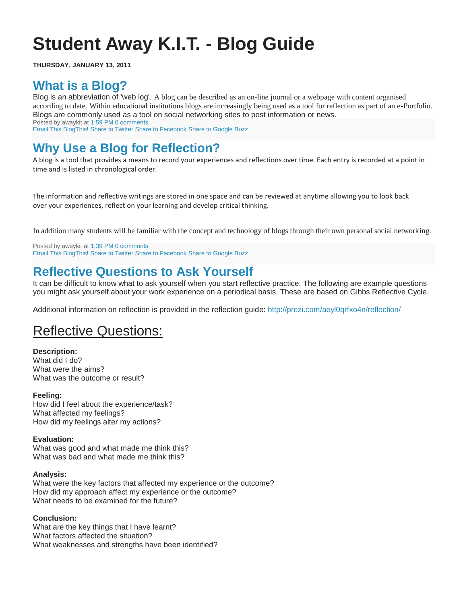# **Student Away K.I.T. - Blog Guide**

**THURSDAY, JANUARY 13, 2011**

### **[What is a Blog?](http://studentawaykit.blogspot.com/2011/01/what-is-blog.html)**

Blog is an abbreviation of 'web log'. A blog can be described as an on-line journal or a webpage with content organised according to date. Within educational institutions blogs are increasingly being used as a tool for reflection as part of an e-Portfolio. Blogs are commonly used as a tool on social networking sites to post information or news. Posted by awaykit at [1:59 PM](http://studentawaykit.blogspot.com/2011/01/what-is-blog.html) [0 comments](http://studentawaykit.blogspot.com/2011/01/what-is-blog.html#comments)

[Email This BlogThis!](http://www.blogger.com/share-post.g?blogID=2866053913372331187&postID=5981689162034701045&target=email) [Share to Twitter Share to Facebook](http://www.blogger.com/share-post.g?blogID=2866053913372331187&postID=5981689162034701045&target=twitter) [Share to Google Buzz](http://www.blogger.com/share-post.g?blogID=2866053913372331187&postID=5981689162034701045&target=buzz) 

### **[Why Use a Blog for Reflection?](http://studentawaykit.blogspot.com/2011/01/why-use-blog-for-reflection.html)**

A blog is a tool that provides a means to record your experiences and reflections over time. Each entry is recorded at a point in time and is listed in chronological order.

The information and reflective writings are stored in one space and can be reviewed at anytime allowing you to look back over your experiences, reflect on your learning and develop critical thinking.

In addition many students will be familiar with the concept and technology of blogs through their own personal social networking.

Posted by awaykit at [1:39 PM](http://studentawaykit.blogspot.com/2011/01/why-use-blog-for-reflection.html) [0 comments](http://studentawaykit.blogspot.com/2011/01/why-use-blog-for-reflection.html#comments) [Email This BlogThis!](http://www.blogger.com/share-post.g?blogID=2866053913372331187&postID=612399619201676774&target=email) [Share to Twitter Share to Facebook](http://www.blogger.com/share-post.g?blogID=2866053913372331187&postID=612399619201676774&target=twitter) [Share to Google Buzz](http://www.blogger.com/share-post.g?blogID=2866053913372331187&postID=612399619201676774&target=buzz) 

### **[Reflective Questions to Ask Yourself](http://studentawaykit.blogspot.com/2011/01/reflective-questions-to-ask-yourself.html)**

It can be difficult to know what to ask yourself when you start reflective practice. The following are example questions you might ask yourself about your work experience on a periodical basis. These are based on Gibbs Reflective Cycle.

Additional information on reflection is provided in the reflection guide:<http://prezi.com/aeyl0qrfxo4n/reflection/>

### Reflective Questions:

#### **Description:**

What did I do? What were the aims? What was the outcome or result?

#### **Feeling:**

How did I feel about the experience/task? What affected my feelings? How did my feelings alter my actions?

#### **Evaluation:**

What was good and what made me think this? What was bad and what made me think this?

#### **Analysis:**

What were the key factors that affected my experience or the outcome? How did my approach affect my experience or the outcome? What needs to be examined for the future?

#### **Conclusion:**

What are the key things that I have learnt? What factors affected the situation? What weaknesses and strengths have been identified?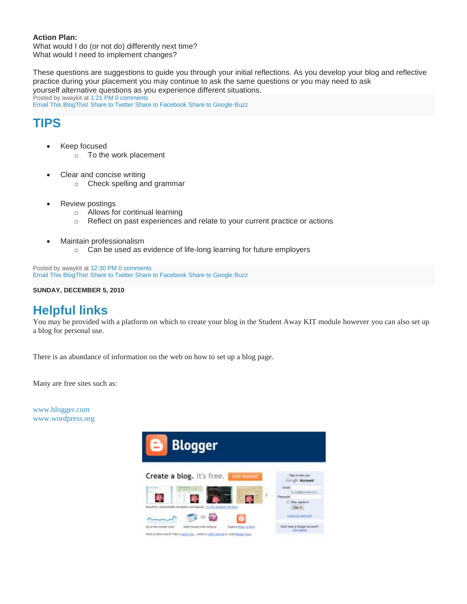#### **Action Plan:**

What would I do (or not do) differently next time? What would I need to implement changes?

These questions are suggestions to guide you through your initial reflections. As you develop your blog and reflective practice during your placement you may continue to ask the same questions or you may need to ask yourself alternative questions as you experience different situations. Posted by awaykit at [1:21 PM](http://studentawaykit.blogspot.com/2011/01/reflective-questions-to-ask-yourself.html) [0 comments](http://studentawaykit.blogspot.com/2011/01/reflective-questions-to-ask-yourself.html#comments) [Email This BlogThis!](http://www.blogger.com/share-post.g?blogID=2866053913372331187&postID=6801716268691041070&target=email) [Share to Twitter Share to Facebook](http://www.blogger.com/share-post.g?blogID=2866053913372331187&postID=6801716268691041070&target=twitter) [Share to Google Buzz](http://www.blogger.com/share-post.g?blogID=2866053913372331187&postID=6801716268691041070&target=buzz) 

### **[TIPS](http://studentawaykit.blogspot.com/2011/01/tips.html)**

- Keep focused
	- o To the work placement
- Clear and concise writing
	- o Check spelling and grammar
- Review postings
	- o Allows for continual learning
	- o Reflect on past experiences and relate to your current practice or actions
- Maintain professionalism
	- o Can be used as evidence of life-long learning for future employers

Posted by awaykit at [12:30 PM](http://studentawaykit.blogspot.com/2011/01/tips.html) [0 comments](http://studentawaykit.blogspot.com/2011/01/tips.html#comments) [Email This BlogThis!](http://www.blogger.com/share-post.g?blogID=2866053913372331187&postID=2428843868211553184&target=email) [Share to Twitter Share to Facebook](http://www.blogger.com/share-post.g?blogID=2866053913372331187&postID=2428843868211553184&target=twitter) [Share to Google Buzz](http://www.blogger.com/share-post.g?blogID=2866053913372331187&postID=2428843868211553184&target=buzz) 

**SUNDAY, DECEMBER 5, 2010**

### **[Helpful links](http://studentawaykit.blogspot.com/2010/12/helpful-links.html)**

You may be provided with a platform on which to create your blog in the Student Away KIT module however you can also set up a blog for personal use.

There is an abundance of information on the web on how to set up a blog page.

Many are free sites such as:

[www.blogger.com](http://www.blogger.com/) [www.wordpress.org](http://www.wordpress.org/)